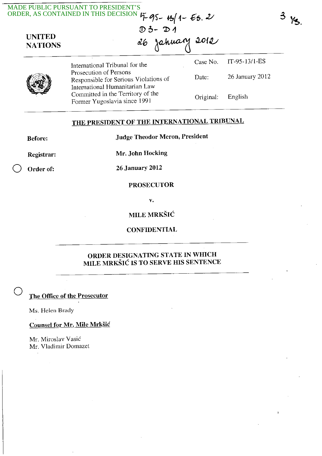|  | MADE PUBLIC PURSUANT TO FRESHELL<br>ORDER, AS CONTAINED IN THIS DECISION $\frac{5}{4}\frac{95}{100}$ + $\frac{15}{100}$ + $\frac{203}{100}$<br>UNITED<br>NATIONS<br>$d\theta = \frac{2012}{100}$ |           |                 |
|--|--------------------------------------------------------------------------------------------------------------------------------------------------------------------------------------------------|-----------|-----------------|
|  | International Tribunal for the                                                                                                                                                                   | Case No.  | $IT-95-13/1-ES$ |
|  | Prosecution of Persons<br>Responsible for Serious Violations of                                                                                                                                  | Date:     | 26 January 2012 |
|  | International Humanitarian Law<br>Committed in the Territory of the<br>Former Yugoslavia since 1991                                                                                              | Original: | English         |
|  | THE PRESIDENT OF THE INTERNATIONAL TRIBUNAL                                                                                                                                                      |           |                 |

Registrar:

Mr. John Hocking

Order of: 26 January 2012

## PROSECUTOR

v.

## **MILE MRKŠIĆ**

**CONFIDENTIAL** 

## ORDER DESIGNATING STATE IN WHICH MILE MRKSIC IS TO SERVE HIS SENTENCE

The Office of the Prosecutor

Ms. Helen Brady

 $\cdot$ 

o

Counsel for Mr. Mile Mrksic

Mr. Miroslav Vasic Mr. Vladimir Domazet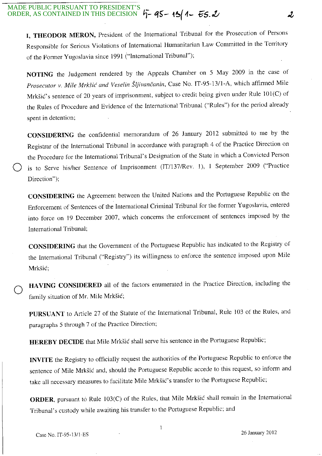**I, THEODOR MERON,** President of the International Tribunal for the Prosecution of Persons Responsible for Serious Violations of International Humanitarian Law Committed in the Territory of the Former Yugoslavia since 1991 ("International Tribunal");

**NOTING** the Judgement rendered by the Appeals Chamber on 5 May 2009 in the case of *Prosecutor* v. *Mile Mrksic and Veselin Sljivanc'anin,* Case No. IT-95-13/l-A, which affirmed Mile Mrksic's sentence of 20 years of imprisonment, subject to credit being given under Rule 101(C) of the Rules of Procedure and Evidence of the International Tribunal ("Rules") for the period already spent in detention;

**CONSIDERING** the confidential memorandum of 26 January 2012 submitted to me by the Registrar of the International Tribunal in accordance with paragraph 4 of the Practice Direction on the Procedure for the International Tribunal's Designation of the State in which a Convicted Person is to Serve his/her Sentence of Imprisonment (IT/137/Rev. 1), 1 September 2009 ("Practice Direction");

**CONSIDERING** the Agreement between the United Nations and the Portuguese Republic on the Enforcement of Sentences of the International Criminal Tribunal for the former Yugoslavia, entered into force on 19 December 2007, which concerns the enforcement of sentences imposed by the International Tribunal;

**CONSIDERING** that the Government of the Portuguese Republic has indicated to the Registry of the International Tribunal ("Registry") its willingness to enforce the sentence imposed upon Mile Mrksic;

o **HAVING CONSIDERED** all of the factors enumerated in the Practice Direction, including the family situation of Mr. Mile Mrkšić;

**PURSUANT** to Article 27 of the Statute of the International Tribunal, Rule 103 or the Rules, and paragraphs 5 through 7 of the Practice Direction;

**HEREBY DECIDE** that Mile Mrksic shall serve his sentence in the Portuguese Republic;

**INVITE** the Registry to officially request the authorities of the Portuguese Republic to enforce the sentence of Mile Mrksic and, should the Portuguese Republic accede to this request, so inform and take all necessary measures to facilitate Mile Mrksic's transfer to the Portuguese Republic;

**ORDER**, pursuant to Rule 103(C) of the Rules, that Mile Mrkšić shall remain in the International Tribunal's custody while awaiting his transfer to the Portuguese Republic; and

ð.